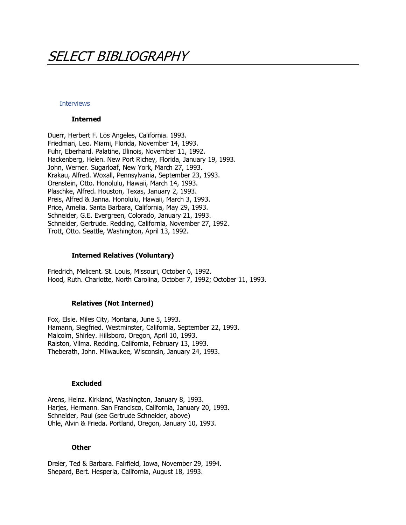# SELECT BIBLIOGRAPHY

## **Interviews**

### **Interned**

Duerr, Herbert F. Los Angeles, California. 1993. Friedman, Leo. Miami, Florida, November 14, 1993. Fuhr, Eberhard. Palatine, Illinois, November 11, 1992. Hackenberg, Helen. New Port Richey, Florida, January 19, 1993. John, Werner. Sugarloaf, New York, March 27, 1993. Krakau, Alfred. Woxall, Pennsylvania, September 23, 1993. Orenstein, Otto. Honolulu, Hawaii, March 14, 1993. Plaschke, Alfred. Houston, Texas, January 2, 1993. Preis, Alfred & Janna. Honolulu, Hawaii, March 3, 1993. Price, Amelia. Santa Barbara, California, May 29, 1993. Schneider, G.E. Evergreen, Colorado, January 21, 1993. Schneider, Gertrude. Redding, California, November 27, 1992. Trott, Otto. Seattle, Washington, April 13, 1992.

## **Interned Relatives (Voluntary)**

Friedrich, Melicent. St. Louis, Missouri, October 6, 1992. Hood, Ruth. Charlotte, North Carolina, October 7, 1992; October 11, 1993.

### **Relatives (Not Interned)**

Fox, Elsie. Miles City, Montana, June 5, 1993. Hamann, Siegfried. Westminster, California, September 22, 1993. Malcolm, Shirley. Hillsboro, Oregon, April 10, 1993. Ralston, Vilma. Redding, California, February 13, 1993. Theberath, John. Milwaukee, Wisconsin, January 24, 1993.

## **Excluded**

Arens, Heinz. Kirkland, Washington, January 8, 1993. Harjes, Hermann. San Francisco, California, January 20, 1993. Schneider, Paul (see Gertrude Schneider, above) Uhle, Alvin & Frieda. Portland, Oregon, January 10, 1993.

#### **Other**

Dreier, Ted & Barbara. Fairfield, Iowa, November 29, 1994. Shepard, Bert. Hesperia, California, August 18, 1993.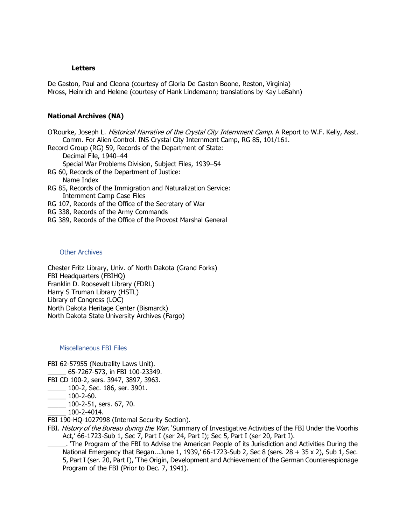## **Letters**

De Gaston, Paul and Cleona (courtesy of Gloria De Gaston Boone, Reston, Virginia) Mross, Heinrich and Helene (courtesy of Hank Lindemann; translations by Kay LeBahn)

# **National Archives (NA)**

O'Rourke, Joseph L. Historical Narrative of the Crystal City Internment Camp. A Report to W.F. Kelly, Asst. Comm. For Alien Control. INS Crystal City Internment Camp, RG 85, 101/161. Record Group (RG) 59, Records of the Department of State:

Decimal File, 1940–44

Special War Problems Division, Subject Files, 1939–54

RG 60, Records of the Department of Justice:

Name Index

RG 85, Records of the Immigration and Naturalization Service: Internment Camp Case Files

RG 107, Records of the Office of the Secretary of War

RG 338, Records of the Army Commands

RG 389, Records of the Office of the Provost Marshal General

# Other Archives

Chester Fritz Library, Univ. of North Dakota (Grand Forks) FBI Headquarters (FBIHQ) Franklin D. Roosevelt Library (FDRL) Harry S Truman Library (HSTL) Library of Congress (LOC) North Dakota Heritage Center (Bismarck) North Dakota State University Archives (Fargo)

## Miscellaneous FBI Files

FBI 62-57955 (Neutrality Laws Unit).

\_\_\_\_\_ 65-7267-573, in FBI 100-23349.

- FBI CD 100-2, sers. 3947, 3897, 3963.
	- \_\_\_\_\_ 100-2, Sec. 186, ser. 3901.
- $\frac{100-2-60}{.}$
- $\frac{100-2-51}{500}$ , sers. 67, 70.
- $-100 2 4014.$
- FBI 190-HQ-1027998 (Internal Security Section).
- FBI. History of the Bureau during the War. 'Summary of Investigative Activities of the FBI Under the Voorhis Act,' 66-1723-Sub 1, Sec 7, Part I (ser 24, Part I); Sec 5, Part I (ser 20, Part I).

\_\_\_\_\_. 'The Program of the FBI to Advise the American People of its Jurisdiction and Activities During the National Emergency that Began...June 1, 1939,' 66-1723-Sub 2, Sec 8 (sers. 28 + 35 x 2), Sub 1, Sec. 5, Part I (ser. 20, Part I), 'The Origin, Development and Achievement of the German Counterespionage Program of the FBI (Prior to Dec. 7, 1941).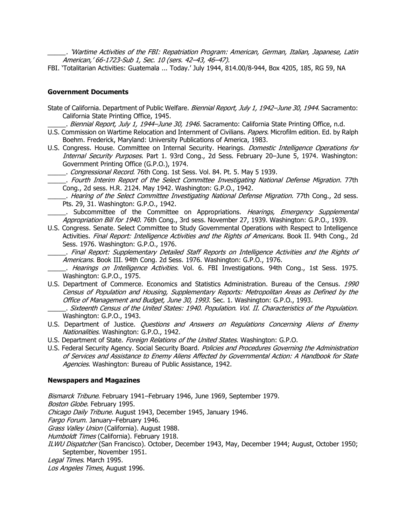\_\_\_\_\_. 'Wartime Activities of the FBI: Repatriation Program: American, German, Italian, Japanese, Latin American,' 66-1723-Sub 1, Sec. 10 (sers. 42–43, 46–47).

FBI. 'Totalitarian Activities: Guatemala ... Today.' July 1944, 814.00/8-944, Box 4205, 185, RG 59, NA

# **Government Documents**

State of California. Department of Public Welfare. Biennial Report, July 1, 1942–June 30, 1944. Sacramento: California State Printing Office, 1945.

. Biennial Report, July 1, 1944–June 30, 1946. Sacramento: California State Printing Office, n.d.

- U.S. Commission on Wartime Relocation and Internment of Civilians. Papers. Microfilm edition. Ed. by Ralph Boehm. Frederick, Maryland: University Publications of America, 1983.
- U.S. Congress. House. Committee on Internal Security. Hearings. *Domestic Intelligence Operations for* Internal Security Purposes. Part 1. 93rd Cong., 2d Sess. February 20-June 5, 1974. Washington: Government Printing Office (G.P.O.), 1974.

. Congressional Record. 76th Cong. 1st Sess. Vol. 84. Pt. 5. May 5 1939.

\_\_\_\_\_. Fourth Interim Report of the Select Committee Investigating National Defense Migration. 77th Cong., 2d sess. H.R. 2124. May 1942. Washington: G.P.O., 1942.

.. Hearing of the Select Committee Investigating National Defense Migration. 77th Cong., 2d sess. Pts. 29, 31. Washington: G.P.O., 1942.

. Subcommittee of the Committee on Appropriations. Hearings, Emergency Supplemental Appropriation Bill for 1940. 76th Cong., 3rd sess. November 27, 1939. Washington: G.P.O., 1939.

U.S. Congress. Senate. Select Committee to Study Governmental Operations with Respect to Intelligence Activities. Final Report: Intelligence Activities and the Rights of Americans. Book II. 94th Cong., 2d Sess. 1976. Washington: G.P.O., 1976.

\_\_\_\_\_. Final Report: Supplementary Detailed Staff Reports on Intelligence Activities and the Rights of Americans. Book III. 94th Cong. 2d Sess. 1976. Washington: G.P.O., 1976.

- . *Hearings on Intelligence Activities*. Vol. 6. FBI Investigations. 94th Cong., 1st Sess. 1975. Washington: G.P.O., 1975.
- U.S. Department of Commerce. Economics and Statistics Administration. Bureau of the Census. 1990 Census of Population and Housing, Supplementary Reports: Metropolitan Areas as Defined by the Office of Management and Budget, June 30, 1993. Sec. 1. Washington: G.P.O., 1993.
- \_\_\_\_\_. Sixteenth Census of the United States: 1940. Population. Vol. II. Characteristics of the Population. Washington: G.P.O., 1943.
- U.S. Department of Justice. Questions and Answers on Regulations Concerning Aliens of Enemy Nationalities. Washington: G.P.O., 1942.
- U.S. Department of State. Foreign Relations of the United States. Washington: G.P.O.
- U.S. Federal Security Agency. Social Security Board. Policies and Procedures Governing the Administration of Services and Assistance to Enemy Aliens Affected by Governmental Action: A Handbook for State Agencies. Washington: Bureau of Public Assistance, 1942.

# **Newspapers and Magazines**

Bismarck Tribune. February 1941–February 1946, June 1969, September 1979.

Boston Globe. February 1995.

Chicago Daily Tribune. August 1943, December 1945, January 1946.

Fargo Forum. January-February 1946.

Grass Valley Union (California). August 1988.

Humboldt Times (California). February 1918.

ILWU Dispatcher (San Francisco). October, December 1943, May, December 1944; August, October 1950; September, November 1951.

Legal Times. March 1995.

Los Angeles Times, August 1996.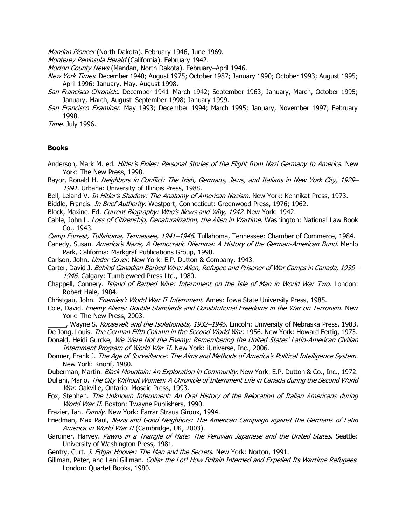Mandan Pioneer (North Dakota). February 1946, June 1969.

Monterey Peninsula Herald (California). February 1942.

- Morton County News (Mandan, North Dakota). February-April 1946.
- New York Times. December 1940; August 1975; October 1987; January 1990; October 1993; August 1995; April 1996; January, May, August 1998.
- San Francisco Chronicle. December 1941–March 1942; September 1963; January, March, October 1995; January, March, August–September 1998; January 1999.
- San Francisco Examiner. May 1993; December 1994; March 1995; January, November 1997; February 1998.

Time. July 1996.

# **Books**

- Anderson, Mark M. ed. Hitler's Exiles: Personal Stories of the Flight from Nazi Germany to America. New York: The New Press, 1998.
- Bayor, Ronald H. Neighbors in Conflict: The Irish, Germans, Jews, and Italians in New York City, 1929– 1941. Urbana: University of Illinois Press, 1988.
- Bell, Leland V. In Hitler's Shadow: The Anatomy of American Nazism. New York: Kennikat Press, 1973.
- Biddle, Francis. *In Brief Authority*. Westport, Connecticut: Greenwood Press, 1976; 1962.
- Block, Maxine. Ed. Current Biography: Who's News and Why, 1942. New York: 1942.
- Cable, John L. Loss of Citizenship, Denaturalization, the Alien in Wartime. Washington: National Law Book Co., 1943.
- Camp Forrest, Tullahoma, Tennessee, 1941–1946. Tullahoma, Tennessee: Chamber of Commerce, 1984.
- Canedy, Susan. America's Nazis, A Democratic Dilemma: A History of the German-American Bund. Menlo Park, California: Markgraf Publications Group, 1990.
- Carlson, John. Under Cover. New York: E.P. Dutton & Company, 1943.
- Carter, David J. Behind Canadian Barbed Wire: Alien, Refugee and Prisoner of War Camps in Canada, 1939– 1946. Calgary: Tumbleweed Press Ltd., 1980.
- Chappell, Connery. Island of Barbed Wire: Internment on the Isle of Man in World War Two. London: Robert Hale, 1984.
- Christgau, John. *'Enemies': World War II Internment*. Ames: Iowa State University Press, 1985.
- Cole, David. Enemy Aliens: Double Standards and Constitutional Freedoms in the War on Terrorism. New York: The New Press, 2003.
- \_\_\_\_\_, Wayne S. Roosevelt and the Isolationists, 1932–1945. Lincoln: University of Nebraska Press, 1983. De Jong, Louis. The German Fifth Column in the Second World War. 1956. New York: Howard Fertig, 1973.
- Donald, Heidi Gurcke, We Were Not the Enemy: Remembering the United States' Latin-American Civilian Internment Program of World War II. New York: iUniverse, Inc., 2006.
- Donner, Frank J. The Age of Surveillance: The Aims and Methods of America's Political Intelligence System. New York: Knopf, 1980.
- Duberman, Martin. Black Mountain: An Exploration in Community. New York: E.P. Dutton & Co., Inc., 1972.
- Duliani, Mario. The City Without Women: A Chronicle of Internment Life in Canada during the Second World War. Oakville, Ontario: Mosaic Press, 1993.
- Fox, Stephen. The Unknown Internment: An Oral History of the Relocation of Italian Americans during World War II. Boston: Twayne Publishers, 1990.
- Frazier, Ian. Family. New York: Farrar Straus Giroux, 1994.
- Friedman, Max Paul, Nazis and Good Neighbors: The American Campaign against the Germans of Latin America in World War II (Cambridge, UK, 2003).
- Gardiner, Harvey. Pawns in a Triangle of Hate: The Peruvian Japanese and the United States. Seattle: University of Washington Press, 1981.
- Gentry, Curt. J. Edgar Hoover: The Man and the Secrets. New York: Norton, 1991.
- Gillman, Peter, and Leni Gillman. Collar the Lot! How Britain Interned and Expelled Its Wartime Refugees. London: Quartet Books, 1980.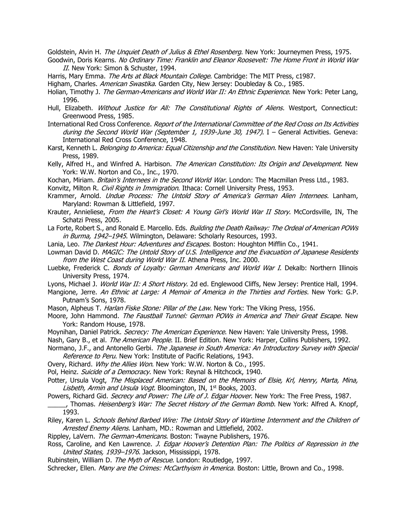Goldstein, Alvin H. The Unquiet Death of Julius & Ethel Rosenberg. New York: Journeymen Press, 1975.

- Goodwin, Doris Kearns. No Ordinary Time: Franklin and Eleanor Roosevelt: The Home Front in World War II. New York: Simon & Schuster, 1994.
- Harris, Mary Emma. The Arts at Black Mountain College. Cambridge: The MIT Press, c1987.
- Higham, Charles. American Swastika. Garden City, New Jersey: Doubleday & Co., 1985.

Holian, Timothy J. The German-Americans and World War II: An Ethnic Experience. New York: Peter Lang, 1996.

- Hull, Elizabeth. Without Justice for All: The Constitutional Rights of Aliens. Westport, Connecticut: Greenwood Press, 1985.
- International Red Cross Conference. Report of the International Committee of the Red Cross on Its Activities during the Second World War (September 1, 1939-June 30, 1947). I - General Activities. Geneva: International Red Cross Conference, 1948.
- Karst, Kenneth L. Belonging to America: Equal Citizenship and the Constitution. New Haven: Yale University Press, 1989.
- Kelly, Alfred H., and Winfred A. Harbison. The American Constitution: Its Origin and Development. New York: W.W. Norton and Co., Inc., 1970.
- Kochan, Miriam. Britain's Internees in the Second World War. London: The Macmillan Press Ltd., 1983.

Konvitz, Milton R. Civil Rights in Immigration. Ithaca: Cornell University Press, 1953.

- Krammer, Arnold. Undue Process: The Untold Story of America's German Alien Internees. Lanham, Maryland: Rowman & Littlefield, 1997.
- Krauter, Annieliese, From the Heart's Closet: A Young Girl's World War II Story. McCordsville, IN, The Schatzi Press, 2005.
- La Forte, Robert S., and Ronald E. Marcello. Eds. Building the Death Railway: The Ordeal of American POWs in Burma, 1942–1945. Wilmington, Delaware: Scholarly Resources, 1993.

Lania, Leo. The Darkest Hour: Adventures and Escapes. Boston: Houghton Mifflin Co., 1941.

- Lowman David D. MAGIC: The Untold Story of U.S. Intelligence and the Evacuation of Japanese Residents from the West Coast during World War II. Athena Press, Inc. 2000.
- Luebke, Frederick C. Bonds of Loyalty: German Americans and World War I. Dekalb: Northern Illinois University Press, 1974.

Lyons, Michael J. World War II: A Short History. 2d ed. Englewood Cliffs, New Jersey: Prentice Hall, 1994.

Mangione, Jerre. An Ethnic at Large: A Memoir of America in the Thirties and Forties. New York: G.P. Putnam's Sons, 1978.

Mason, Alpheus T. Harlan Fiske Stone: Pillar of the Law. New York: The Viking Press, 1956.

- Moore, John Hammond. The Faustball Tunnel: German POWs in America and Their Great Escape. New York: Random House, 1978.
- Moynihan, Daniel Patrick. Secrecy: The American Experience. New Haven: Yale University Press, 1998.
- Nash, Gary B., et al. The American People. II. Brief Edition. New York: Harper, Collins Publishers, 1992.
- Normano, J.F., and Antonello Gerbi. The Japanese in South America: An Introductory Survey with Special Reference to Peru. New York: Institute of Pacific Relations, 1943.
- Overy, Richard. Why the Allies Won. New York: W.W. Norton & Co., 1995.
- Pol, Heinz. Suicide of a Democracy. New York: Reynal & Hitchcock, 1940.
- Potter, Ursula Vogt, The Misplaced American: Based on the Memoirs of Elsie, Krl, Henry, Marta, Mina, Lisbeth, Armin and Ursula Vogt. Bloomington, IN, 1<sup>st</sup> Books, 2003.
- Powers, Richard Gid. Secrecy and Power: The Life of J. Edgar Hoover. New York: The Free Press, 1987.
- <sub>\_</sub>, Thomas. *Heisenberg's War: The Secret History of the German Bomb*. New York: Alfred A. Knopf, 1993.
- Riley, Karen L. Schools Behind Barbed Wire: The Untold Story of Wartime Internment and the Children of Arrested Enemy Aliens. Lanham, MD.: Rowman and Littlefield, 2002.
- Rippley, LaVern. The German-Americans. Boston: Twayne Publishers, 1976.
- Ross, Caroline, and Ken Lawrence. *J. Edgar Hoover's Detention Plan: The Politics of Repression in the* United States, 1939–1976. Jackson, Mississippi, 1978.
- Rubinstein, William D. The Myth of Rescue. London: Routledge, 1997.

Schrecker, Ellen. Many are the Crimes: McCarthyism in America. Boston: Little, Brown and Co., 1998.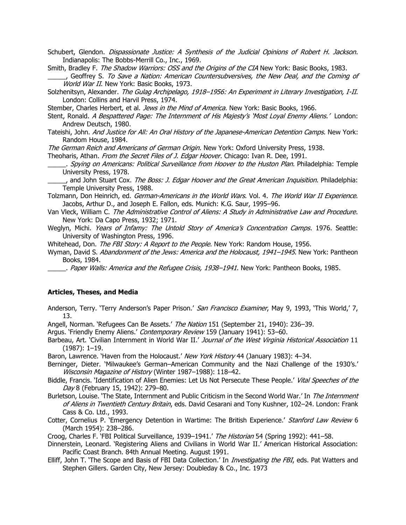Schubert, Glendon. Dispassionate Justice: A Synthesis of the Judicial Opinions of Robert H. Jackson. Indianapolis: The Bobbs-Merrill Co., Inc., 1969.

Smith, Bradley F. The Shadow Warriors: OSS and the Origins of the CIA New York: Basic Books, 1983.

\_\_\_\_\_, Geoffrey S. To Save a Nation: American Countersubversives, the New Deal, and the Coming of World War II. New York: Basic Books, 1973.

Solzhenitsyn, Alexander. The Gulag Archipelago, 1918–1956: An Experiment in Literary Investigation, I-II. London: Collins and Harvil Press, 1974.

Stember, Charles Herbert, et al. Jews in the Mind of America. New York: Basic Books, 1966.

Stent, Ronald. A Bespattered Page: The Internment of His Majesty's 'Most Loyal Enemy Aliens.' London: Andrew Deutsch, 1980.

Tateishi, John. And Justice for All: An Oral History of the Japanese-American Detention Camps. New York: Random House, 1984.

The German Reich and Americans of German Origin. New York: Oxford University Press, 1938.

Theoharis, Athan. From the Secret Files of J. Edgar Hoover. Chicago: Ivan R. Dee, 1991.

. Spying on Americans: Political Surveillance from Hoover to the Huston Plan. Philadelphia: Temple University Press, 1978.

. and John Stuart Cox. The Boss: J. Edgar Hoover and the Great American Inquisition. Philadelphia: Temple University Press, 1988.

Tolzmann, Don Heinrich, ed. German-Americans in the World Wars. Vol. 4. The World War II Experience. Jacobs, Arthur D., and Joseph E. Fallon, eds. Munich: K.G. Saur, 1995–96.

- Van Vleck, William C. The Administrative Control of Aliens: A Study in Administrative Law and Procedure. New York: Da Capo Press, 1932; 1971.
- Weglyn, Michi. Years of Infamy: The Untold Story of America's Concentration Camps. 1976. Seattle: University of Washington Press, 1996.

Whitehead, Don. The FBI Story: A Report to the People. New York: Random House, 1956.

Wyman, David S. Abandonment of the Jews: America and the Holocaust, 1941–1945. New York: Pantheon Books, 1984.

. Paper Walls: America and the Refugee Crisis, 1938–1941. New York: Pantheon Books, 1985.

# **Articles, Theses, and Media**

Anderson, Terry. 'Terry Anderson's Paper Prison.' San Francisco Examiner, May 9, 1993, 'This World,' 7, 13.

Angell, Norman. 'Refugees Can Be Assets.' The Nation 151 (September 21, 1940): 236-39.

Argus. 'Friendly Enemy Aliens.' Contemporary Review 159 (January 1941): 53-60.

Barbeau, Art. 'Civilian Internment in World War II.' Journal of the West Virginia Historical Association 11 (1987): 1–19.

Baron, Lawrence. 'Haven from the Holocaust.' New York History 44 (January 1983): 4–34.

- Berninger, Dieter. 'Milwaukee's German–American Community and the Nazi Challenge of the 1930's.' Wisconsin Magazine of History (Winter 1987-1988): 118-42.
- Biddle, Francis. 'Identification of Alien Enemies: Let Us Not Persecute These People.' Vital Speeches of the Day 8 (February 15, 1942): 279-80.
- Burletson, Louise. 'The State, Internment and Public Criticism in the Second World War.' In The Internment of Aliens in Twentieth Century Britain, eds. David Cesarani and Tony Kushner, 102-24. London: Frank Cass & Co. Ltd., 1993.
- Cotter, Cornelius P. 'Emergency Detention in Wartime: The British Experience.' Stanford Law Review 6 (March 1954): 238–286.

Croog, Charles F. 'FBI Political Surveillance, 1939–1941.' The Historian 54 (Spring 1992): 441–58.

- Dinnerstein, Leonard. 'Registering Aliens and Civilians in World War II.' American Historical Association: Pacific Coast Branch. 84th Annual Meeting. August 1991.
- Elliff, John T. 'The Scope and Basis of FBI Data Collection.' In *Investigating the FBI*, eds. Pat Watters and Stephen Gillers. Garden City, New Jersey: Doubleday & Co., Inc. 1973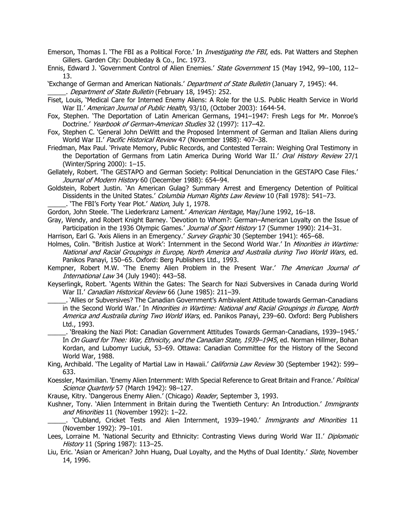- Emerson, Thomas I. 'The FBI as a Political Force.' In *Investigating the FBI*, eds. Pat Watters and Stephen Gillers. Garden City: Doubleday & Co., Inc. 1973.
- Ennis, Edward J. 'Government Control of Alien Enemies.' State Government 15 (May 1942, 99-100, 112-13.
- 'Exchange of German and American Nationals.' Department of State Bulletin (January 7, 1945): 44. . Department of State Bulletin (February 18, 1945): 252.
- Fiset, Louis, 'Medical Care for Interned Enemy Aliens: A Role for the U.S. Public Health Service in World War II.' American Journal of Public Health, 93/10, (October 2003): 1644-54.
- Fox, Stephen. 'The Deportation of Latin American Germans, 1941–1947: Fresh Legs for Mr. Monroe's Doctrine.' Yearbook of German-American Studies 32 (1997): 117-42.
- Fox, Stephen C. 'General John DeWitt and the Proposed Internment of German and Italian Aliens during World War II.' Pacific Historical Review 47 (November 1988): 407-38.
- Friedman, Max Paul. 'Private Memory, Public Records, and Contested Terrain: Weighing Oral Testimony in the Deportation of Germans from Latin America During World War II.' Oral History Review 27/1 (Winter/Spring 2000): 1–15.
- Gellately, Robert. 'The GESTAPO and German Society: Political Denunciation in the GESTAPO Case Files.' Journal of Modern History 60 (December 1988): 654-94.
- Goldstein, Robert Justin. 'An American Gulag? Summary Arrest and Emergency Detention of Political Dissidents in the United States.' Columbia Human Rights Law Review 10 (Fall 1978): 541-73.
	- . 'The FBI's Forty Year Plot.' Nation, July 1, 1978.

Gordon, John Steele. 'The Liederkranz Lament.' American Heritage, May/June 1992, 16-18.

- Gray, Wendy, and Robert Knight Barney. 'Devotion to Whom?: German–American Loyalty on the Issue of Participation in the 1936 Olympic Games.' Journal of Sport History 17 (Summer 1990): 214-31.
- Harrison, Earl G. 'Axis Aliens in an Emergency.' Survey Graphic 30 (September 1941): 465–68.
- Holmes, Colin. "British Justice at Work': Internment in the Second World War.' In Minorities in Wartime: National and Racial Groupings in Europe, North America and Australia during Two World Wars, ed. Panikos Panayi, 150–65. Oxford: Berg Publishers Ltd., 1993.
- Kempner, Robert M.W. 'The Enemy Alien Problem in the Present War.' The American Journal of International Law 34 (July 1940): 443-58.
- Keyserlingk, Robert. 'Agents Within the Gates: The Search for Nazi Subversives in Canada during World War II.' Canadian Historical Review 66 (June 1985): 211-39.
- \_\_\_\_\_. 'Allies or Subversives? The Canadian Government's Ambivalent Attitude towards German-Canadians in the Second World War.' In Minorities in Wartime: National and Racial Groupings in Europe, North America and Australia during Two World Wars, ed. Panikos Panayi, 239–60. Oxford: Berg Publishers Ltd., 1993.

\_\_\_\_\_. 'Breaking the Nazi Plot: Canadian Government Attitudes Towards German-Canadians, 1939–1945.' In On Guard for Thee: War, Ethnicity, and the Canadian State, 1939-1945, ed. Norman Hillmer, Bohan Kordan, and Lubomyr Luciuk, 53–69. Ottawa: Canadian Committee for the History of the Second World War, 1988.

King, Archibald. 'The Legality of Martial Law in Hawaii.' California Law Review 30 (September 1942): 599-633.

Koessler, Maximilian. 'Enemy Alien Internment: With Special Reference to Great Britain and France.' Political Science Quarterly 57 (March 1942): 98-127.

Krause, Kitry. 'Dangerous Enemy Alien.' (Chicago) Reader, September 3, 1993.

Kushner, Tony. 'Alien Internment in Britain during the Twentieth Century: An Introduction.' Immigrants and Minorities 11 (November 1992): 1-22.

. 'Clubland, Cricket Tests and Alien Internment, 1939–1940.' Immigrants and Minorities 11 (November 1992): 79–101.

- Lees, Lorraine M. 'National Security and Ethnicity: Contrasting Views during World War II.' Diplomatic History 11 (Spring 1987): 113–25.
- Liu, Eric. 'Asian or American? John Huang, Dual Loyalty, and the Myths of Dual Identity.' Slate, November 14, 1996.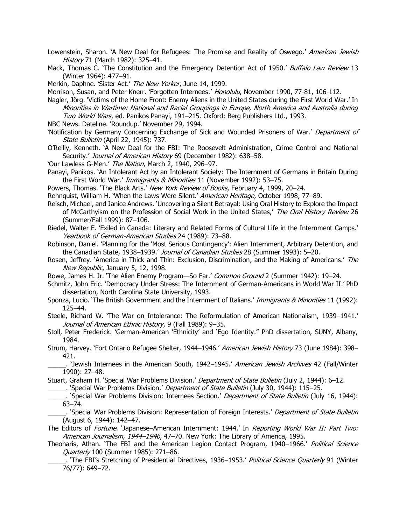Lowenstein, Sharon. 'A New Deal for Refugees: The Promise and Reality of Oswego.' American Jewish History 71 (March 1982): 325-41.

Mack, Thomas C. 'The Constitution and the Emergency Detention Act of 1950.' Buffalo Law Review 13 (Winter 1964): 477–91.

Merkin, Daphne. 'Sister Act.' The New Yorker, June 14, 1999.

Morrison, Susan, and Peter Knerr. 'Forgotten Internees.' Honolulu, November 1990, 77-81, 106-112.

Nagler, Jörg. 'Victims of the Home Front: Enemy Aliens in the United States during the First World War.' In Minorities in Wartime: National and Racial Groupings in Europe, North America and Australia during Two World Wars, ed. Panikos Panayi, 191–215. Oxford: Berg Publishers Ltd., 1993.

NBC News. Dateline. 'Roundup.' November 29, 1994.

'Notification by Germany Concerning Exchange of Sick and Wounded Prisoners of War.' Department of State Bulletin (April 22, 1945): 737.

O'Reilly, Kenneth. 'A New Deal for the FBI: The Roosevelt Administration, Crime Control and National Security.' Journal of American History 69 (December 1982): 638-58.

'Our Lawless G-Men.' The Nation, March 2, 1940, 296–97.

Panayi, Panikos. 'An Intolerant Act by an Intolerant Society: The Internment of Germans in Britain During the First World War.' Immigrants & Minorities 11 (November 1992): 53–75.

Powers, Thomas. 'The Black Arts.' New York Review of Books, February 4, 1999, 20–24.

Rehnquist, William H. 'When the Laws Were Silent.' American Heritage, October 1998, 77–89.

Reisch, Michael, and Janice Andrews. 'Uncovering a Silent Betrayal: Using Oral History to Explore the Impact of McCarthyism on the Profession of Social Work in the United States,' The Oral History Review 26 (Summer/Fall 1999): 87–106.

Riedel, Walter E. 'Exiled in Canada: Literary and Related Forms of Cultural Life in the Internment Camps.' Yearbook of German-American Studies 24 (1989): 73–88.

Robinson, Daniel. 'Planning for the 'Most Serious Contingency': Alien Internment, Arbitrary Detention, and the Canadian State, 1938–1939.' Journal of Canadian Studies 28 (Summer 1993): 5-20.

Rosen, Jeffrey. 'America in Thick and Thin: Exclusion, Discrimination, and the Making of Americans.' The New Republic, January 5, 12, 1998.

Rowe, James H. Jr. 'The Alien Enemy Program—So Far.' Common Ground 2 (Summer 1942): 19–24.

Schmitz, John Eric. 'Democracy Under Stress: The Internment of German-Americans in World War II.' PhD dissertation, North Carolina State University, 1993.

Sponza, Lucio. 'The British Government and the Internment of Italians.' Immigrants & Minorities 11 (1992): 125–44.

Steele, Richard W. 'The War on Intolerance: The Reformulation of American Nationalism, 1939–1941.' Journal of American Ethnic History, 9 (Fall 1989): 9-35.

Stoll, Peter Frederick. 'German-American 'Ethnicity' and 'Ego Identity.'' PhD dissertation, SUNY, Albany, 1984.

Strum, Harvey. 'Fort Ontario Refugee Shelter, 1944–1946.' American Jewish History 73 (June 1984): 398– 421.

. 'Jewish Internees in the American South, 1942–1945.' American Jewish Archives 42 (Fall/Winter 1990): 27–48.

Stuart, Graham H. 'Special War Problems Division.' Department of State Bulletin (July 2, 1944): 6–12.

\_\_\_. 'Special War Problems Division.' Department of State Bulletin (July 30, 1944): 115–25.

.. 'Special War Problems Division: Internees Section.' Department of State Bulletin (July 16, 1944): 63–74.

<sub>\_</sub>. 'Special War Problems Division: Representation of Foreign Interests.' Department of State Bulletin (August 6, 1944): 142–47.

The Editors of *Fortune*. 'Japanese–American Internment: 1944.' In *Reporting World War II: Part Two:* American Journalism, 1944–1946, 47-70. New York: The Library of America, 1995.

Theoharis, Athan. 'The FBI and the American Legion Contact Program, 1940–1966.' Political Science Quarterly 100 (Summer 1985): 271–86.

. 'The FBI's Stretching of Presidential Directives, 1936–1953.' Political Science Quarterly 91 (Winter 76/77): 649–72.